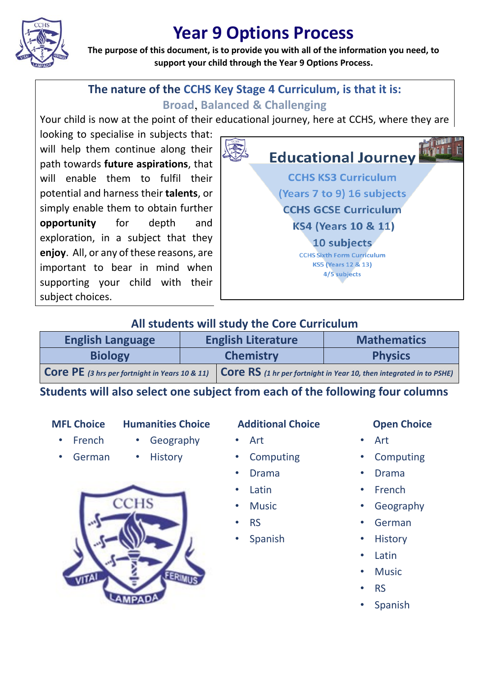

# **Year 9 Options Process**

**The purpose of this document, is to provide you with all of the information you need, to support your child through the Year 9 Options Process.**

## **The nature of the CCHS Key Stage 4 Curriculum, is that it is: Broad**, **Balanced & Challenging**

Your child is now at the point of their educational journey, here at CCHS, where they are

looking to specialise in subjects that: will help them continue along their path towards **future aspirations**, that will enable them to fulfil their potential and harness their **talents**, or simply enable them to obtain further **opportunity** for depth and exploration, in a subject that they **enjoy**. All, or any of these reasons, are important to bear in mind when supporting your child with their subject choices.



### **All students will study the Core Curriculum**

| <b>English Language</b> | <b>English Literature</b> |                                                                                                                                  | <b>Mathematics</b> |
|-------------------------|---------------------------|----------------------------------------------------------------------------------------------------------------------------------|--------------------|
| <b>Biology</b>          | <b>Chemistry</b>          |                                                                                                                                  | <b>Physics</b>     |
|                         |                           | <b>COTE PE</b> (3 hrs per fortnight in Years 10 & 11) <b>COTE RS</b> (1 hr per fortnight in Year 10, then integrated in to PSHE) |                    |

**Students will also select one subject from each of the following four columns**

- Geography
- German

• French

**History** 

### **MFL Choice Humanities Choice Additional Choice Open Choice**

- **Computing**
- Drama
- 
- Latin

• Art

- **Music**
- RS
- Spanish

- Art
- **Computing**
- Drama
- French
- Geography
- German
- **History**
- Latin
- **Music**
- RS
- **Spanish**